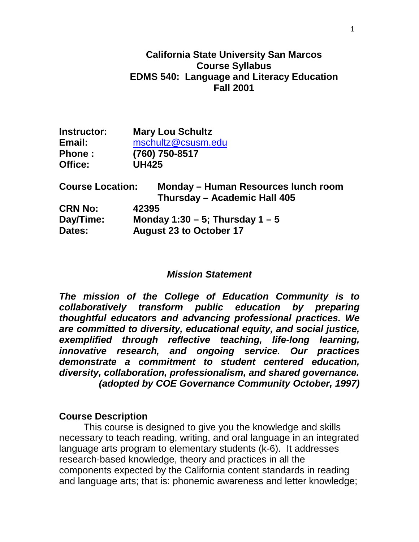### **California State University San Marcos Course Syllabus EDMS 540: Language and Literacy Education Fall 2001**

| Instructor:   | <b>Mary Lou Schultz</b> |  |
|---------------|-------------------------|--|
| Email:        | mschultz@csusm.edu      |  |
| <b>Phone:</b> | (760) 750-8517          |  |
| Office:       | <b>UH425</b>            |  |

| <b>Course Location:</b> | Monday – Human Resources lunch room |
|-------------------------|-------------------------------------|
|                         | Thursday - Academic Hall 405        |
| <b>CRN No:</b>          | 42395                               |
| Day/Time:               | Monday 1:30 – 5; Thursday 1 – 5     |
| Dates:                  | <b>August 23 to October 17</b>      |

#### *Mission Statement*

*The mission of the College of Education Community is to collaboratively transform public education by preparing thoughtful educators and advancing professional practices. We are committed to diversity, educational equity, and social justice, exemplified through reflective teaching, life-long learning, innovative research, and ongoing service. Our practices demonstrate a commitment to student centered education, diversity, collaboration, professionalism, and shared governance. (adopted by COE Governance Community October, 1997)*

#### **Course Description**

This course is designed to give you the knowledge and skills necessary to teach reading, writing, and oral language in an integrated language arts program to elementary students (k-6). It addresses research-based knowledge, theory and practices in all the components expected by the California content standards in reading and language arts; that is: phonemic awareness and letter knowledge;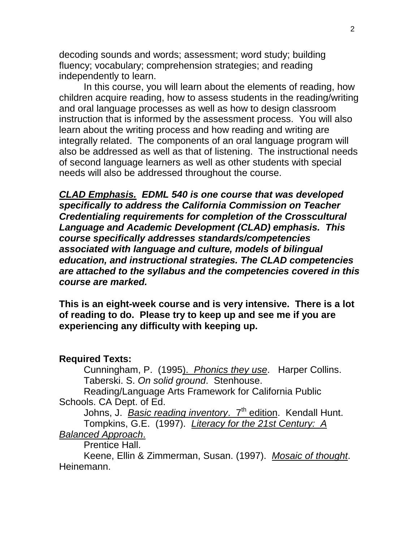decoding sounds and words; assessment; word study; building fluency; vocabulary; comprehension strategies; and reading independently to learn.

In this course, you will learn about the elements of reading, how children acquire reading, how to assess students in the reading/writing and oral language processes as well as how to design classroom instruction that is informed by the assessment process. You will also learn about the writing process and how reading and writing are integrally related. The components of an oral language program will also be addressed as well as that of listening. The instructional needs of second language learners as well as other students with special needs will also be addressed throughout the course.

*CLAD Emphasis. EDML 540 is one course that was developed specifically to address the California Commission on Teacher Credentialing requirements for completion of the Crosscultural Language and Academic Development (CLAD) emphasis. This course specifically addresses standards/competencies associated with language and culture, models of bilingual education, and instructional strategies. The CLAD competencies are attached to the syllabus and the competencies covered in this course are marked.*

**This is an eight-week course and is very intensive. There is a lot of reading to do. Please try to keep up and see me if you are experiencing any difficulty with keeping up.**

#### **Required Texts:**

Cunningham, P. (1995). *Phonics they use*. Harper Collins. Taberski. S. *On solid ground*. Stenhouse.

Reading/Language Arts Framework for California Public Schools. CA Dept. of Ed.

Johns, J. *Basic reading inventory.* 7<sup>th</sup> edition. Kendall Hunt. Tompkins, G.E. (1997). *Literacy for the 21st Century: A* 

### *Balanced Approach*.

Prentice Hall.

Keene, Ellin & Zimmerman, Susan. (1997). *Mosaic of thought*. Heinemann.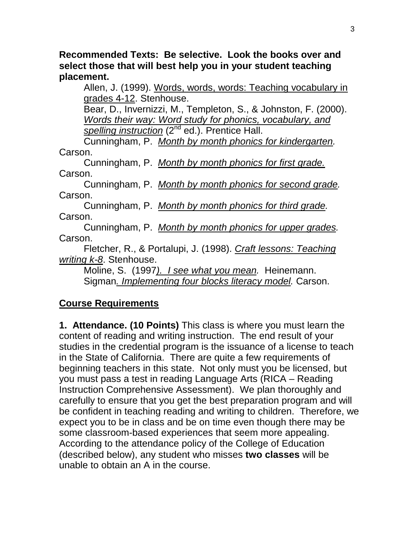**Recommended Texts: Be selective. Look the books over and select those that will best help you in your student teaching placement.**

Allen, J. (1999). Words, words, words: Teaching vocabulary in grades 4-12. Stenhouse.

Bear, D., Invernizzi, M., Templeton, S., & Johnston, F. (2000). *Words their way: Word study for phonics, vocabulary, and*  spelling instruction (2<sup>nd</sup> ed.). Prentice Hall.

Cunningham, P. *Month by month phonics for kindergarten.* Carson.

Cunningham, P. *Month by month phonics for first grade.* Carson.

Cunningham, P. *Month by month phonics for second grade.* Carson.

Cunningham, P. *Month by month phonics for third grade.* Carson.

Cunningham, P. *Month by month phonics for upper grades.* Carson.

Fletcher, R., & Portalupi, J. (1998). *Craft lessons: Teaching writing k-8*. Stenhouse.

Moline, S. (1997*). I see what you mean.* Heinemann. Sigman*. Implementing four blocks literacy model.* Carson.

# **Course Requirements**

**1. Attendance. (10 Points)** This class is where you must learn the content of reading and writing instruction. The end result of your studies in the credential program is the issuance of a license to teach in the State of California. There are quite a few requirements of beginning teachers in this state. Not only must you be licensed, but you must pass a test in reading Language Arts (RICA – Reading Instruction Comprehensive Assessment). We plan thoroughly and carefully to ensure that you get the best preparation program and will be confident in teaching reading and writing to children. Therefore, we expect you to be in class and be on time even though there may be some classroom-based experiences that seem more appealing. According to the attendance policy of the College of Education (described below), any student who misses **two classes** will be unable to obtain an A in the course.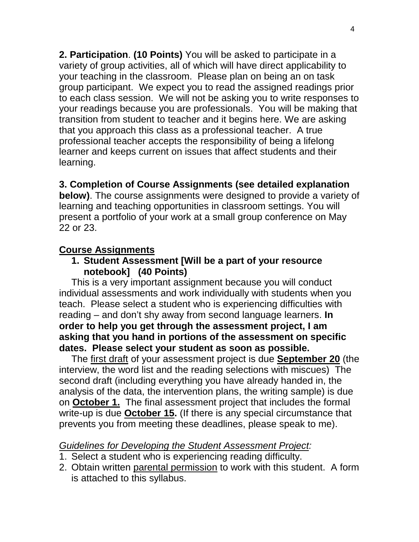**2. Participation**. **(10 Points)** You will be asked to participate in a variety of group activities, all of which will have direct applicability to your teaching in the classroom. Please plan on being an on task group participant.We expect you to read the assigned readings prior to each class session. We will not be asking you to write responses to your readings because you are professionals. You will be making that transition from student to teacher and it begins here. We are asking that you approach this class as a professional teacher. A true professional teacher accepts the responsibility of being a lifelong learner and keeps current on issues that affect students and their learning.

## **3. Completion of Course Assignments (see detailed explanation**

**below)**. The course assignments were designed to provide a variety of learning and teaching opportunities in classroom settings. You will present a portfolio of your work at a small group conference on May 22 or 23.

### **Course Assignments**

### **1. Student Assessment [Will be a part of your resource notebook] (40 Points)**

This is a very important assignment because you will conduct individual assessments and work individually with students when you teach. Please select a student who is experiencing difficulties with reading – and don't shy away from second language learners. **In order to help you get through the assessment project, I am asking that you hand in portions of the assessment on specific dates. Please select your student as soon as possible.**

The first draft of your assessment project is due **September 20** (the interview, the word list and the reading selections with miscues) The second draft (including everything you have already handed in, the analysis of the data, the intervention plans, the writing sample) is due on **October 1.** The final assessment project that includes the formal write-up is due **October 15.** (If there is any special circumstance that prevents you from meeting these deadlines, please speak to me).

#### *Guidelines for Developing the Student Assessment Project:*

- 1. Select a student who is experiencing reading difficulty.
- 2. Obtain written parental permission to work with this student. A form is attached to this syllabus.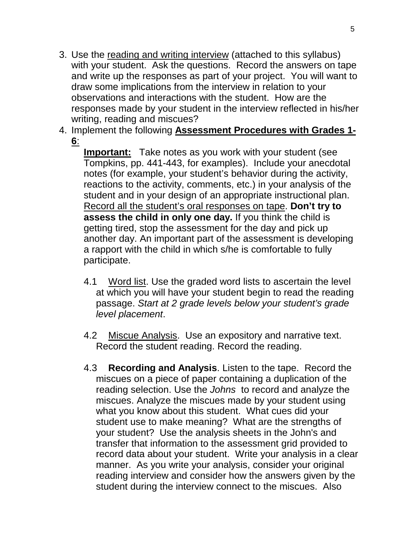- 3. Use the reading and writing interview (attached to this syllabus) with your student. Ask the questions. Record the answers on tape and write up the responses as part of your project. You will want to draw some implications from the interview in relation to your observations and interactions with the student. How are the responses made by your student in the interview reflected in his/her writing, reading and miscues?
- 4. Implement the following **Assessment Procedures with Grades 1- 6**:

**Important:** Take notes as you work with your student (see Tompkins, pp. 441-443, for examples). Include your anecdotal notes (for example, your student's behavior during the activity, reactions to the activity, comments, etc.) in your analysis of the student and in your design of an appropriate instructional plan. Record all the student's oral responses on tape. **Don't try to assess the child in only one day.** If you think the child is getting tired, stop the assessment for the day and pick up another day. An important part of the assessment is developing a rapport with the child in which s/he is comfortable to fully participate.

- 4.1 Word list. Use the graded word lists to ascertain the level at which you will have your student begin to read the reading passage. *Start at 2 grade levels below your student's grade level placement*.
- 4.2 Miscue Analysis. Use an expository and narrative text. Record the student reading. Record the reading.
- 4.3 **Recording and Analysis**. Listen to the tape. Record the miscues on a piece of paper containing a duplication of the reading selection. Use the *Johns* to record and analyze the miscues. Analyze the miscues made by your student using what you know about this student. What cues did your student use to make meaning? What are the strengths of your student? Use the analysis sheets in the John's and transfer that information to the assessment grid provided to record data about your student. Write your analysis in a clear manner. As you write your analysis, consider your original reading interview and consider how the answers given by the student during the interview connect to the miscues. Also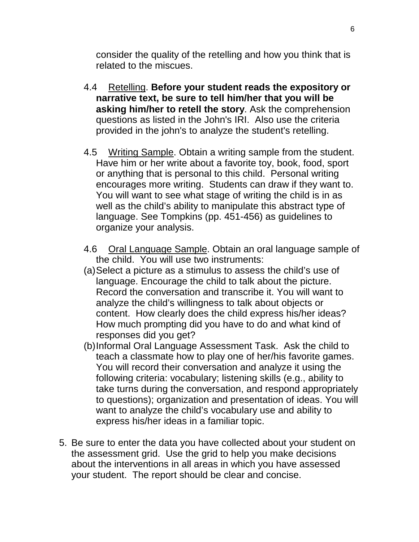consider the quality of the retelling and how you think that is related to the miscues.

- 4.4 Retelling. **Before your student reads the expository or narrative text, be sure to tell him/her that you will be asking him/her to retell the story**. Ask the comprehension questions as listed in the John's IRI. Also use the criteria provided in the john's to analyze the student's retelling.
- 4.5 Writing Sample. Obtain a writing sample from the student. Have him or her write about a favorite toy, book, food, sport or anything that is personal to this child. Personal writing encourages more writing. Students can draw if they want to. You will want to see what stage of writing the child is in as well as the child's ability to manipulate this abstract type of language. See Tompkins (pp. 451-456) as guidelines to organize your analysis.
- 4.6 Oral Language Sample. Obtain an oral language sample of the child. You will use two instruments:
- (a)Select a picture as a stimulus to assess the child's use of language. Encourage the child to talk about the picture. Record the conversation and transcribe it. You will want to analyze the child's willingness to talk about objects or content. How clearly does the child express his/her ideas? How much prompting did you have to do and what kind of responses did you get?
- (b)Informal Oral Language Assessment Task. Ask the child to teach a classmate how to play one of her/his favorite games. You will record their conversation and analyze it using the following criteria: vocabulary; listening skills (e.g., ability to take turns during the conversation, and respond appropriately to questions); organization and presentation of ideas. You will want to analyze the child's vocabulary use and ability to express his/her ideas in a familiar topic.
- 5. Be sure to enter the data you have collected about your student on the assessment grid. Use the grid to help you make decisions about the interventions in all areas in which you have assessed your student. The report should be clear and concise.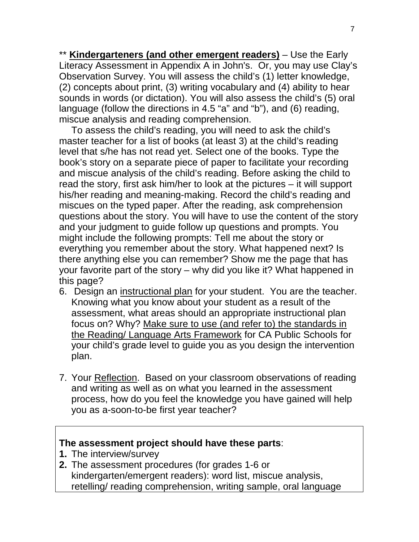\*\* **Kindergarteners (and other emergent readers)** – Use the Early Literacy Assessment in Appendix A in John's. Or, you may use Clay's Observation Survey. You will assess the child's (1) letter knowledge, (2) concepts about print, (3) writing vocabulary and (4) ability to hear sounds in words (or dictation). You will also assess the child's (5) oral language (follow the directions in 4.5 "a" and "b"), and (6) reading, miscue analysis and reading comprehension.

To assess the child's reading, you will need to ask the child's master teacher for a list of books (at least 3) at the child's reading level that s/he has not read yet. Select one of the books. Type the book's story on a separate piece of paper to facilitate your recording and miscue analysis of the child's reading. Before asking the child to read the story, first ask him/her to look at the pictures – it will support his/her reading and meaning-making. Record the child's reading and miscues on the typed paper. After the reading, ask comprehension questions about the story. You will have to use the content of the story and your judgment to guide follow up questions and prompts. You might include the following prompts: Tell me about the story or everything you remember about the story. What happened next? Is there anything else you can remember? Show me the page that has your favorite part of the story – why did you like it? What happened in this page?

- 6. Design an instructional plan for your student. You are the teacher. Knowing what you know about your student as a result of the assessment, what areas should an appropriate instructional plan focus on? Why? Make sure to use (and refer to) the standards in the Reading/ Language Arts Framework for CA Public Schools for your child's grade level to guide you as you design the intervention plan.
- 7. Your Reflection. Based on your classroom observations of reading and writing as well as on what you learned in the assessment process, how do you feel the knowledge you have gained will help you as a-soon-to-be first year teacher?

#### **The assessment project should have these parts**:

- **1.** The interview/survey
- **2.** The assessment procedures (for grades 1-6 or kindergarten/emergent readers): word list, miscue analysis, retelling/ reading comprehension, writing sample, oral language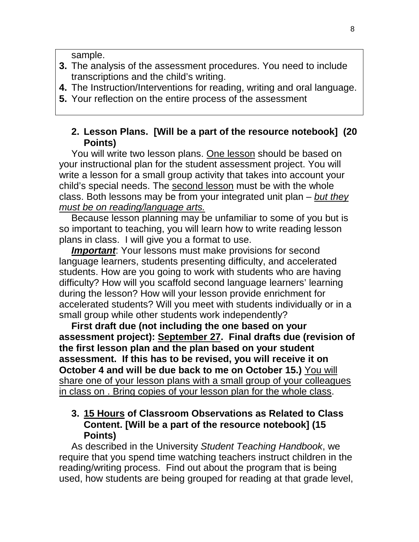sample.

- **3.** The analysis of the assessment procedures. You need to include transcriptions and the child's writing.
- **4.** The Instruction/Interventions for reading, writing and oral language.
- **5.** Your reflection on the entire process of the assessment

#### **2. Lesson Plans. [Will be a part of the resource notebook] (20 Points)**

You will write two lesson plans. One lesson should be based on your instructional plan for the student assessment project. You will write a lesson for a small group activity that takes into account your child's special needs. The second lesson must be with the whole class. Both lessons may be from your integrated unit plan – *but they must be on reading/language arts.*

Because lesson planning may be unfamiliar to some of you but is so important to teaching, you will learn how to write reading lesson plans in class. I will give you a format to use.

*Important*: Your lessons must make provisions for second language learners, students presenting difficulty, and accelerated students. How are you going to work with students who are having difficulty? How will you scaffold second language learners' learning during the lesson? How will your lesson provide enrichment for accelerated students? Will you meet with students individually or in a small group while other students work independently?

**First draft due (not including the one based on your assessment project): September 27. Final drafts due (revision of the first lesson plan and the plan based on your student assessment. If this has to be revised, you will receive it on October 4 and will be due back to me on October 15.)** You will share one of your lesson plans with a small group of your colleagues in class on . Bring copies of your lesson plan for the whole class.

#### **3. 15 Hours of Classroom Observations as Related to Class Content. [Will be a part of the resource notebook] (15 Points)**

As described in the University *Student Teaching Handbook*, we require that you spend time watching teachers instruct children in the reading/writing process. Find out about the program that is being used, how students are being grouped for reading at that grade level,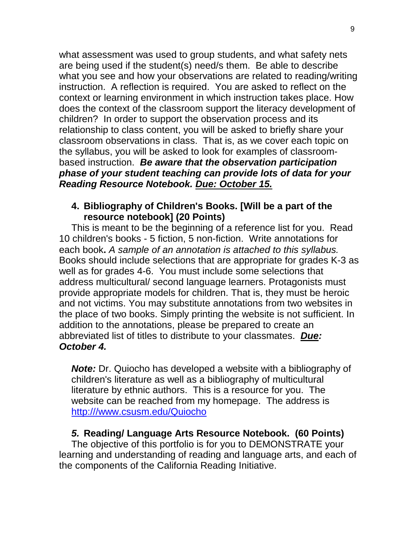what assessment was used to group students, and what safety nets are being used if the student(s) need/s them. Be able to describe what you see and how your observations are related to reading/writing instruction.A reflection is required. You are asked to reflect on the context or learning environment in which instruction takes place. How does the context of the classroom support the literacy development of children? In order to support the observation process and its relationship to class content, you will be asked to briefly share your classroom observations in class. That is, as we cover each topic on the syllabus, you will be asked to look for examples of classroombased instruction. *Be aware that the observation participation phase of your student teaching can provide lots of data for your Reading Resource Notebook. Due: October 15.*

#### **4. Bibliography of Children's Books. [Will be a part of the resource notebook] (20 Points)**

This is meant to be the beginning of a reference list for you. Read 10 children's books - 5 fiction, 5 non-fiction. Write annotations for each book**.** *A sample of an annotation is attached to this syllabus.* Books should include selections that are appropriate for grades K-3 as well as for grades 4-6. You must include some selections that address multicultural/ second language learners. Protagonists must provide appropriate models for children. That is, they must be heroic and not victims. You may substitute annotations from two websites in the place of two books. Simply printing the website is not sufficient. In addition to the annotations, please be prepared to create an abbreviated list of titles to distribute to your classmates. *Due: October 4.* 

*Note:* Dr. Quiocho has developed a website with a bibliography of children's literature as well as a bibliography of multicultural literature by ethnic authors. This is a resource for you. The website can be reached from my homepage. The address is [http:///www.csusm.edu/Quiocho](http://www.csusm.edu/Quiocho)

### *5.* **Reading/ Language Arts Resource Notebook. (60 Points)**

The objective of this portfolio is for you to DEMONSTRATE your learning and understanding of reading and language arts, and each of the components of the California Reading Initiative.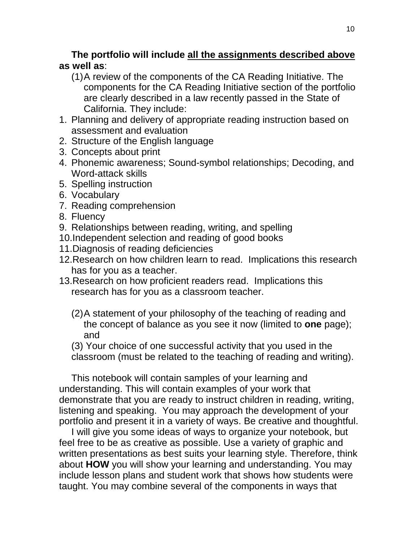## **The portfolio will include all the assignments described above as well as**:

- (1)A review of the components of the CA Reading Initiative. The components for the CA Reading Initiative section of the portfolio are clearly described in a law recently passed in the State of California. They include:
- 1. Planning and delivery of appropriate reading instruction based on assessment and evaluation
- 2. Structure of the English language
- 3. Concepts about print
- 4. Phonemic awareness; Sound-symbol relationships; Decoding, and Word-attack skills
- 5. Spelling instruction
- 6. Vocabulary
- 7. Reading comprehension
- 8. Fluency
- 9. Relationships between reading, writing, and spelling
- 10.Independent selection and reading of good books
- 11.Diagnosis of reading deficiencies
- 12.Research on how children learn to read. Implications this research has for you as a teacher.
- 13.Research on how proficient readers read. Implications this research has for you as a classroom teacher.
	- (2)A statement of your philosophy of the teaching of reading and the concept of balance as you see it now (limited to **one** page); and

(3) Your choice of one successful activity that you used in the classroom (must be related to the teaching of reading and writing).

This notebook will contain samples of your learning and understanding. This will contain examples of your work that demonstrate that you are ready to instruct children in reading, writing, listening and speaking.You may approach the development of your portfolio and present it in a variety of ways. Be creative and thoughtful.

I will give you some ideas of ways to organize your notebook, but feel free to be as creative as possible. Use a variety of graphic and written presentations as best suits your learning style. Therefore, think about **HOW** you will show your learning and understanding. You may include lesson plans and student work that shows how students were taught. You may combine several of the components in ways that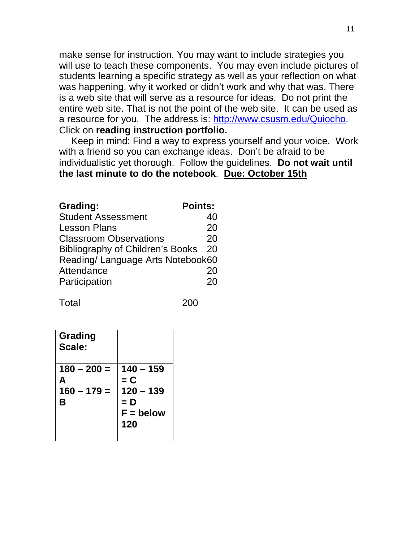make sense for instruction. You may want to include strategies you will use to teach these components. You may even include pictures of students learning a specific strategy as well as your reflection on what was happening, why it worked or didn't work and why that was. There is a web site that will serve as a resource for ideas. Do not print the entire web site. That is not the point of the web site. It can be used as a resource for you. The address is: [http://www.csusm.edu/Quiocho.](http://www.csusm.edu/Quiocho) Click on **reading instruction portfolio.**

Keep in mind: Find a way to express yourself and your voice. Work with a friend so you can exchange ideas. Don't be afraid to be individualistic yet thorough. Follow the guidelines. **Do not wait until the last minute to do the notebook**. **Due: October 15th**

| <b>Grading:</b>                   | <b>Points:</b> |
|-----------------------------------|----------------|
| <b>Student Assessment</b>         | 40             |
| <b>Lesson Plans</b>               | 20             |
| <b>Classroom Observations</b>     | 20             |
| Bibliography of Children's Books  | 20             |
| Reading/ Language Arts Notebook60 |                |
| Attendance                        | 20             |
| Participation                     | 20             |

Total 200

| Grading<br>Scale:                        |                                                                |
|------------------------------------------|----------------------------------------------------------------|
| $180 - 200 =$<br>А<br>$160 - 179 =$<br>В | 140 – 159<br>$= C$<br>$120 - 139$<br>= D<br>$F =$ below<br>120 |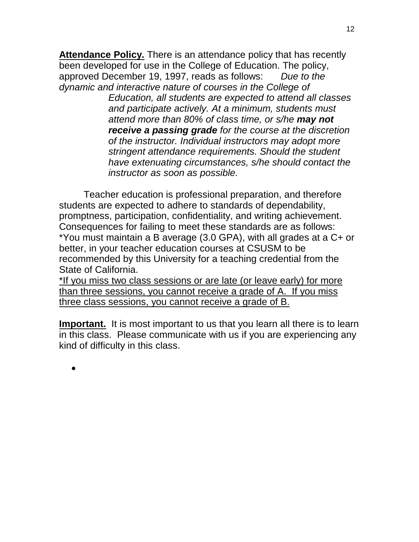**Attendance Policy.** There is an attendance policy that has recently been developed for use in the College of Education. The policy, approved December 19, 1997, reads as follows: *Due to the dynamic and interactive nature of courses in the College of* 

> *Education, all students are expected to attend all classes and participate actively. At a minimum, students must attend more than 80% of class time, or s/he may not receive a passing grade for the course at the discretion of the instructor. Individual instructors may adopt more stringent attendance requirements. Should the student have extenuating circumstances, s/he should contact the instructor as soon as possible.*

12

Teacher education is professional preparation, and therefore students are expected to adhere to standards of dependability, promptness, participation, confidentiality, and writing achievement. Consequences for failing to meet these standards are as follows: \*You must maintain a B average (3.0 GPA), with all grades at a C+ or better, in your teacher education courses at CSUSM to be recommended by this University for a teaching credential from the State of California.

\*If you miss two class sessions or are late (or leave early) for more than three sessions, you cannot receive a grade of A. If you miss three class sessions, you cannot receive a grade of B.

**Important.** It is most important to us that you learn all there is to learn in this class. Please communicate with us if you are experiencing any kind of difficulty in this class.

•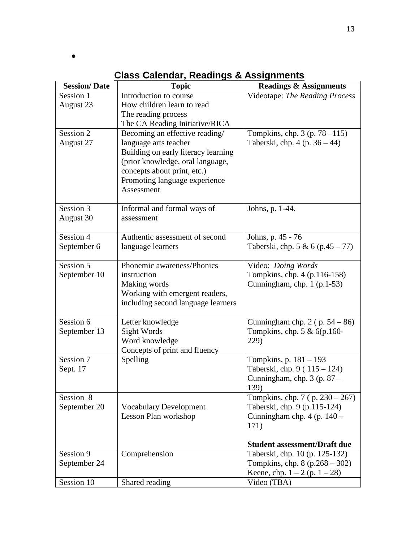•

| <b>Session/Date</b>   | <b>Topic</b>                                                 | <b>Readings &amp; Assignments</b>                  |
|-----------------------|--------------------------------------------------------------|----------------------------------------------------|
| Session 1             | Introduction to course                                       | Videotape: The Reading Process                     |
| August 23             | How children learn to read                                   |                                                    |
|                       | The reading process                                          |                                                    |
|                       | The CA Reading Initiative/RICA                               |                                                    |
| Session 2             | Becoming an effective reading/                               | Tompkins, chp. $3$ (p. $78 - 115$ )                |
| August 27             | language arts teacher                                        | Taberski, chp. $4$ (p. $36 - 44$ )                 |
|                       | Building on early literacy learning                          |                                                    |
|                       | (prior knowledge, oral language,                             |                                                    |
|                       | concepts about print, etc.)<br>Promoting language experience |                                                    |
|                       | Assessment                                                   |                                                    |
|                       |                                                              |                                                    |
| Session 3             | Informal and formal ways of                                  | Johns, p. 1-44.                                    |
| August 30             | assessment                                                   |                                                    |
|                       |                                                              |                                                    |
| Session 4             | Authentic assessment of second                               | Johns, p. 45 - 76                                  |
| September 6           | language learners                                            | Taberski, chp. 5 & 6 (p.45 – 77)                   |
| Session 5             | Phonemic awareness/Phonics                                   |                                                    |
| September 10          | instruction                                                  | Video: Doing Words<br>Tompkins, chp. 4 (p.116-158) |
|                       | Making words                                                 | Cunningham, chp. $1$ (p.1-53)                      |
|                       | Working with emergent readers,                               |                                                    |
|                       | including second language learners                           |                                                    |
|                       |                                                              |                                                    |
| S <sub>ession</sub> 6 | Letter knowledge                                             | Cunningham chp. $2$ (p. $54 - 86$ )                |
| September 13          | Sight Words                                                  | Tompkins, chp. $5 & 6(p.160 -$                     |
|                       | Word knowledge                                               | 229)                                               |
|                       | Concepts of print and fluency                                |                                                    |
| Session 7             | Spelling                                                     | Tompkins, p. 181 - 193                             |
| Sept. 17              |                                                              | Taberski, chp. 9 (115 – 124)                       |
|                       |                                                              | Cunningham, chp. $3$ (p. $87 -$                    |
| Session 8             |                                                              | 139)<br>Tompkins, chp. 7 (p. 230 – 267)            |
| September 20          | <b>Vocabulary Development</b>                                | Taberski, chp. 9 (p.115-124)                       |
|                       | Lesson Plan workshop                                         | Cunningham chp. $4$ (p. $140 -$                    |
|                       |                                                              | 171)                                               |
|                       |                                                              |                                                    |
|                       |                                                              | <b>Student assessment/Draft due</b>                |
| Session 9             | Comprehension                                                | Taberski, chp. 10 (p. 125-132)                     |
| September 24          |                                                              | Tompkins, chp. $8 (p.268 - 302)$                   |
|                       |                                                              | Keene, chp. $1 - 2$ (p. $1 - 28$ )                 |
| Session 10            | Shared reading                                               | Video (TBA)                                        |

## **Class Calendar, Readings & Assignments**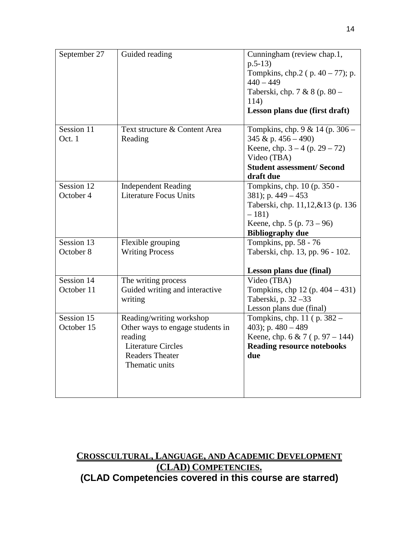| September 27 | Guided reading                              | Cunningham (review chap.1,<br>$p.5-13)$<br>Tompkins, chp.2 (p. 40 - 77); p.<br>$440 - 449$<br>Taberski, chp. 7 & 8 (p. 80 -<br>114)<br>Lesson plans due (first draft) |
|--------------|---------------------------------------------|-----------------------------------------------------------------------------------------------------------------------------------------------------------------------|
| Session 11   | Text structure & Content Area               | Tompkins, chp. 9 & 14 (p. 306 –                                                                                                                                       |
| Oct. 1       | Reading                                     | 345 & p. $456 - 490$ )                                                                                                                                                |
|              |                                             | Keene, chp. $3 - 4$ (p. $29 - 72$ )                                                                                                                                   |
|              |                                             | Video (TBA)                                                                                                                                                           |
|              |                                             | <b>Student assessment/ Second</b>                                                                                                                                     |
| Session 12   | <b>Independent Reading</b>                  | draft due<br>Tompkins, chp. 10 (p. 350 -                                                                                                                              |
| October 4    | <b>Literature Focus Units</b>               | 381); p. 449 - 453                                                                                                                                                    |
|              |                                             | Taberski, chp. 11,12,&13 (p. 136)                                                                                                                                     |
|              |                                             | $-181)$                                                                                                                                                               |
|              |                                             | Keene, chp. $5 (p. 73 - 96)$                                                                                                                                          |
|              |                                             | <b>Bibliography due</b>                                                                                                                                               |
| Session 13   | Flexible grouping                           | Tompkins, pp. 58 - 76                                                                                                                                                 |
| October 8    | <b>Writing Process</b>                      | Taberski, chp. 13, pp. 96 - 102.                                                                                                                                      |
|              |                                             |                                                                                                                                                                       |
|              |                                             | Lesson plans due (final)                                                                                                                                              |
| Session 14   | The writing process                         | Video (TBA)                                                                                                                                                           |
| October 11   | Guided writing and interactive              | Tompkins, chp 12 (p. $404 - 431$ )                                                                                                                                    |
|              | writing                                     | Taberski, p. 32 - 33                                                                                                                                                  |
|              |                                             | Lesson plans due (final)                                                                                                                                              |
| Session 15   | Reading/writing workshop                    | Tompkins, chp. 11 (p. 382 –                                                                                                                                           |
| October 15   | Other ways to engage students in<br>reading | 403); p. $480 - 489$                                                                                                                                                  |
|              | <b>Literature Circles</b>                   | Keene, chp. 6 & 7 (p. 97 – 144)<br><b>Reading resource notebooks</b>                                                                                                  |
|              | <b>Readers Theater</b>                      | due                                                                                                                                                                   |
|              | Thematic units                              |                                                                                                                                                                       |
|              |                                             |                                                                                                                                                                       |
|              |                                             |                                                                                                                                                                       |
|              |                                             |                                                                                                                                                                       |

### **CROSSCULTURAL, LANGUAGE, AND ACADEMIC DEVELOPMENT (CLAD) COMPETENCIES. (CLAD Competencies covered in this course are starred)**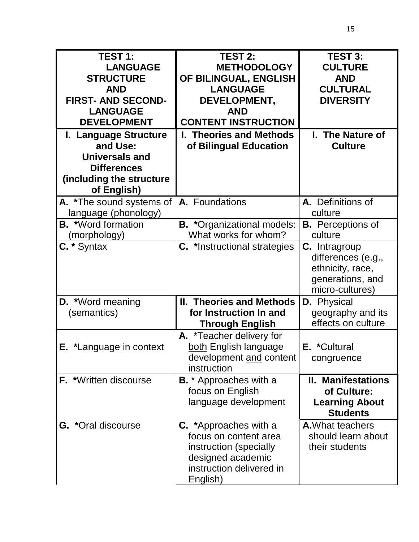| <b>TEST 1:</b><br><b>LANGUAGE</b><br><b>STRUCTURE</b><br><b>AND</b><br><b>FIRST- AND SECOND-</b><br><b>LANGUAGE</b><br><b>DEVELOPMENT</b> | <b>TEST 2:</b><br><b>METHODOLOGY</b><br>OF BILINGUAL, ENGLISH<br><b>LANGUAGE</b><br>DEVELOPMENT,<br><b>AND</b><br><b>CONTENT INSTRUCTION</b> | <b>TEST 3:</b><br><b>CULTURE</b><br><b>AND</b><br><b>CULTURAL</b><br><b>DIVERSITY</b>          |
|-------------------------------------------------------------------------------------------------------------------------------------------|----------------------------------------------------------------------------------------------------------------------------------------------|------------------------------------------------------------------------------------------------|
| I. Language Structure<br>and Use:<br><b>Universals and</b><br><b>Differences</b><br>(including the structure<br>of English)               | I. Theories and Methods<br>of Bilingual Education                                                                                            | I. The Nature of<br><b>Culture</b>                                                             |
| A. *The sound systems of<br>language (phonology)                                                                                          | A. Foundations                                                                                                                               | A. Definitions of<br>culture                                                                   |
| <b>B.</b> *Word formation<br>(morphology)                                                                                                 | <b>B.</b> *Organizational models:<br>What works for whom?                                                                                    | <b>B.</b> Perceptions of<br>culture                                                            |
| $C.*$ Syntax                                                                                                                              | <b>C.</b> *Instructional strategies                                                                                                          | C. Intragroup<br>differences (e.g.,<br>ethnicity, race,<br>generations, and<br>micro-cultures) |
| <b>D.</b> *Word meaning<br>(semantics)                                                                                                    | <b>II. Theories and Methods</b><br>for Instruction In and<br><b>Through English</b>                                                          | <b>D.</b> Physical<br>geography and its<br>effects on culture                                  |
| <b>E.</b> *Language in context                                                                                                            | A. *Teacher delivery for<br>both English language<br>development and content<br>instruction                                                  | E. *Cultural<br>congruence                                                                     |
| <b>F.</b> *Written discourse                                                                                                              | <b>B.</b> * Approaches with a<br>focus on English<br>language development                                                                    | <b>II. Manifestations</b><br>of Culture:<br><b>Learning About</b><br><b>Students</b>           |
| <b>G.</b> *Oral discourse                                                                                                                 | <b>C.</b> *Approaches with a<br>focus on content area<br>instruction (specially<br>designed academic<br>instruction delivered in<br>English) | <b>A.</b> What teachers<br>should learn about<br>their students                                |